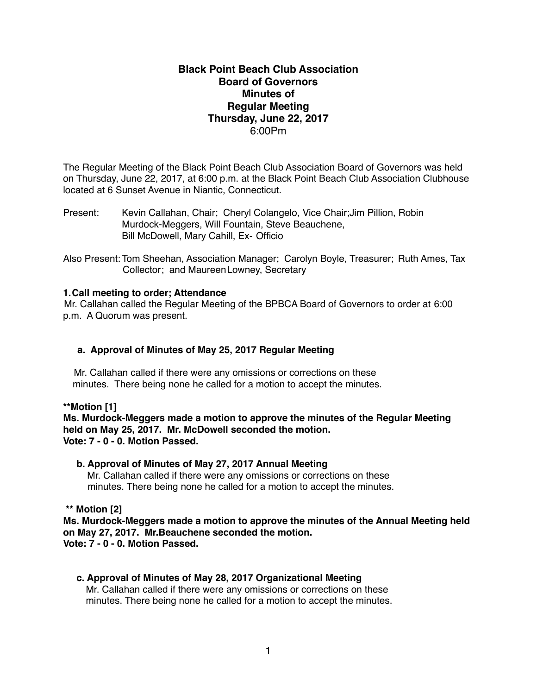# **Black Point Beach Club Association Board of Governors Minutes of Regular Meeting Thursday, June 22, 2017** 6:00Pm

The Regular Meeting of the Black Point Beach Club Association Board of Governors was held on Thursday, June 22, 2017, at 6:00 p.m. at the Black Point Beach Club Association Clubhouse located at 6 Sunset Avenue in Niantic, Connecticut.

Present: Kevin Callahan, Chair; Cheryl Colangelo, Vice Chair;Jim Pillion, Robin Murdock-Meggers, Will Fountain, Steve Beauchene, Bill McDowell, Mary Cahill, Ex- Officio

Also Present: Tom Sheehan, Association Manager; Carolyn Boyle, Treasurer; Ruth Ames, Tax Collector; and MaureenLowney, Secretary

# **1.Call meeting to order; Attendance**

Mr. Callahan called the Regular Meeting of the BPBCA Board of Governors to order at 6:00 p.m. A Quorum was present.

# **a. Approval of Minutes of May 25, 2017 Regular Meeting**

Mr. Callahan called if there were any omissions or corrections on these minutes. There being none he called for a motion to accept the minutes.

**\*\*Motion [1]**

**Ms. Murdock-Meggers made a motion to approve the minutes of the Regular Meeting held on May 25, 2017. Mr. McDowell seconded the motion. Vote: 7 - 0 - 0. Motion Passed.**

#### **b. Approval of Minutes of May 27, 2017 Annual Meeting**

 Mr. Callahan called if there were any omissions or corrections on these minutes. There being none he called for a motion to accept the minutes.

# **\*\* Motion [2]**

**Ms. Murdock-Meggers made a motion to approve the minutes of the Annual Meeting held on May 27, 2017. Mr.Beauchene seconded the motion. Vote: 7 - 0 - 0. Motion Passed.**

#### **c. Approval of Minutes of May 28, 2017 Organizational Meeting**

Mr. Callahan called if there were any omissions or corrections on these minutes. There being none he called for a motion to accept the minutes.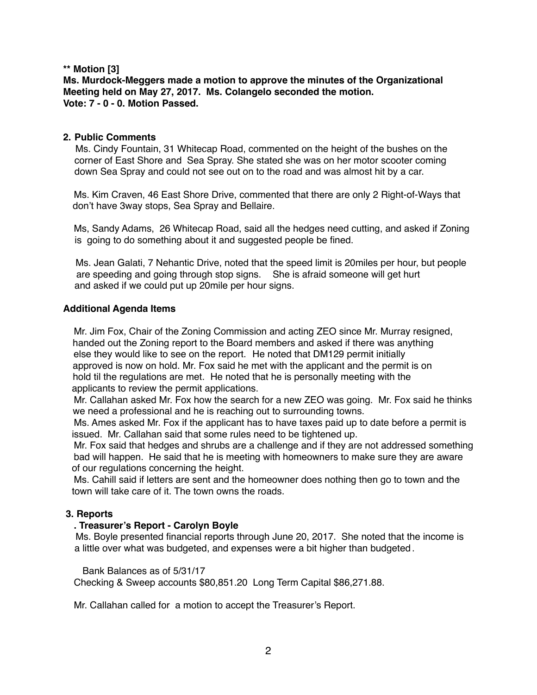# **\*\* Motion [3]**

**Ms. Murdock-Meggers made a motion to approve the minutes of the Organizational Meeting held on May 27, 2017. Ms. Colangelo seconded the motion. Vote: 7 - 0 - 0. Motion Passed.**

## **2. Public Comments**

Ms. Cindy Fountain, 31 Whitecap Road, commented on the height of the bushes on the corner of East Shore and Sea Spray. She stated she was on her motor scooter coming down Sea Spray and could not see out on to the road and was almost hit by a car.

 Ms. Kim Craven, 46 East Shore Drive, commented that there are only 2 Right-of-Ways that don't have 3way stops, Sea Spray and Bellaire.

 Ms, Sandy Adams, 26 Whitecap Road, said all the hedges need cutting, and asked if Zoning is going to do something about it and suggested people be fined.

 Ms. Jean Galati, 7 Nehantic Drive, noted that the speed limit is 20miles per hour, but people are speeding and going through stop signs. She is afraid someone will get hurt and asked if we could put up 20mile per hour signs.

## **Additional Agenda Items**

 Mr. Jim Fox, Chair of the Zoning Commission and acting ZEO since Mr. Murray resigned, handed out the Zoning report to the Board members and asked if there was anything else they would like to see on the report. He noted that DM129 permit initially approved is now on hold. Mr. Fox said he met with the applicant and the permit is on hold til the regulations are met. He noted that he is personally meeting with the applicants to review the permit applications.

 Mr. Callahan asked Mr. Fox how the search for a new ZEO was going. Mr. Fox said he thinks we need a professional and he is reaching out to surrounding towns.

 Ms. Ames asked Mr. Fox if the applicant has to have taxes paid up to date before a permit is issued. Mr. Callahan said that some rules need to be tightened up.

 Mr. Fox said that hedges and shrubs are a challenge and if they are not addressed something bad will happen. He said that he is meeting with homeowners to make sure they are aware of our regulations concerning the height.

 Ms. Cahill said if letters are sent and the homeowner does nothing then go to town and the town will take care of it. The town owns the roads.

# **3. Reports**

#### **. Treasurer's Report - Carolyn Boyle**

Ms. Boyle presented financial reports through June 20, 2017. She noted that the income is a little over what was budgeted, and expenses were a bit higher than budgeted .

Bank Balances as of 5/31/17

Checking & Sweep accounts \$80,851.20 Long Term Capital \$86,271.88.

Mr. Callahan called for a motion to accept the Treasurer's Report.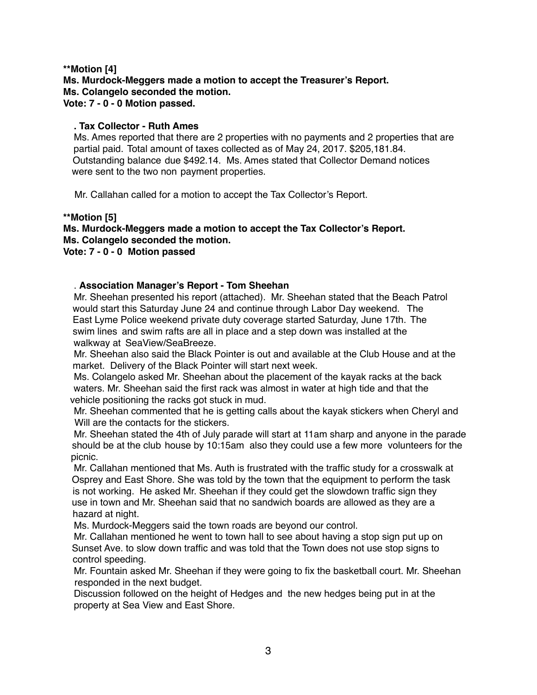# **\*\*Motion [4] Ms. Murdock-Meggers made a motion to accept the Treasurer's Report. Ms. Colangelo seconded the motion. Vote: 7 - 0 - 0 Motion passed.**

# **. Tax Collector - Ruth Ames**

Ms. Ames reported that there are 2 properties with no payments and 2 properties that are partial paid. Total amount of taxes collected as of May 24, 2017. \$205,181.84. Outstanding balance due \$492.14. Ms. Ames stated that Collector Demand notices were sent to the two non payment properties.

Mr. Callahan called for a motion to accept the Tax Collector's Report.

#### **\*\*Motion [5]**

#### **Ms. Murdock-Meggers made a motion to accept the Tax Collector's Report. Ms. Colangelo seconded the motion. Vote: 7 - 0 - 0 Motion passed**

## . **Association Manager's Report - Tom Sheehan**

Mr. Sheehan presented his report (attached). Mr. Sheehan stated that the Beach Patrol would start this Saturday June 24 and continue through Labor Day weekend. The East Lyme Police weekend private duty coverage started Saturday, June 17th. The swim lines and swim rafts are all in place and a step down was installed at the walkway at SeaView/SeaBreeze.

 Mr. Sheehan also said the Black Pointer is out and available at the Club House and at the market. Delivery of the Black Pointer will start next week.

 Ms. Colangelo asked Mr. Sheehan about the placement of the kayak racks at the back waters. Mr. Sheehan said the first rack was almost in water at high tide and that the vehicle positioning the racks got stuck in mud.

 Mr. Sheehan commented that he is getting calls about the kayak stickers when Cheryl and Will are the contacts for the stickers.

 Mr. Sheehan stated the 4th of July parade will start at 11am sharp and anyone in the parade should be at the club house by 10:15am also they could use a few more volunteers for the picnic.

 Mr. Callahan mentioned that Ms. Auth is frustrated with the traffic study for a crosswalk at Osprey and East Shore. She was told by the town that the equipment to perform the task is not working. He asked Mr. Sheehan if they could get the slowdown traffic sign they use in town and Mr. Sheehan said that no sandwich boards are allowed as they are a hazard at night.

Ms. Murdock-Meggers said the town roads are beyond our control.

 Mr. Callahan mentioned he went to town hall to see about having a stop sign put up on Sunset Ave. to slow down traffic and was told that the Town does not use stop signs to control speeding.

 Mr. Fountain asked Mr. Sheehan if they were going to fix the basketball court. Mr. Sheehan responded in the next budget.

 Discussion followed on the height of Hedges and the new hedges being put in at the property at Sea View and East Shore.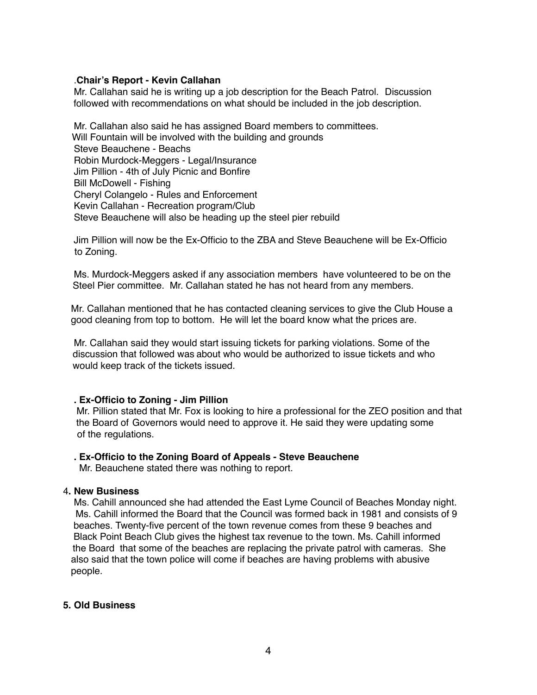#### .**Chair's Report - Kevin Callahan**

Mr. Callahan said he is writing up a job description for the Beach Patrol. Discussion followed with recommendations on what should be included in the job description.

 Mr. Callahan also said he has assigned Board members to committees. Will Fountain will be involved with the building and grounds Steve Beauchene - Beachs Robin Murdock-Meggers - Legal/Insurance Jim Pillion - 4th of July Picnic and Bonfire Bill McDowell - Fishing Cheryl Colangelo - Rules and Enforcement Kevin Callahan - Recreation program/Club Steve Beauchene will also be heading up the steel pier rebuild

 Jim Pillion will now be the Ex-Officio to the ZBA and Steve Beauchene will be Ex-Officio to Zoning.

 Ms. Murdock-Meggers asked if any association members have volunteered to be on the Steel Pier committee. Mr. Callahan stated he has not heard from any members.

Mr. Callahan mentioned that he has contacted cleaning services to give the Club House a good cleaning from top to bottom. He will let the board know what the prices are.

 Mr. Callahan said they would start issuing tickets for parking violations. Some of the discussion that followed was about who would be authorized to issue tickets and who would keep track of the tickets issued.

#### **. Ex-Officio to Zoning - Jim Pillion**

Mr. Pillion stated that Mr. Fox is looking to hire a professional for the ZEO position and that the Board of Governors would need to approve it. He said they were updating some of the regulations.

#### **. Ex-Officio to the Zoning Board of Appeals - Steve Beauchene**

Mr. Beauchene stated there was nothing to report.

## 4**. New Business**

Ms. Cahill announced she had attended the East Lyme Council of Beaches Monday night. Ms. Cahill informed the Board that the Council was formed back in 1981 and consists of 9 beaches. Twenty-five percent of the town revenue comes from these 9 beaches and Black Point Beach Club gives the highest tax revenue to the town. Ms. Cahill informed the Board that some of the beaches are replacing the private patrol with cameras. She also said that the town police will come if beaches are having problems with abusive people.

#### **5. Old Business**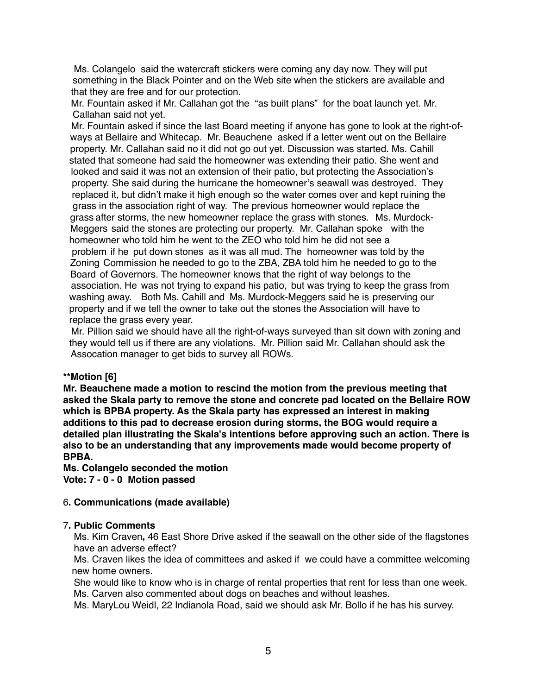Ms. Colangelosaid the watercraft stickers were coming any day now. They will put something in the Black Pointer and on the Web site when the stickers are available and that they are free and for our protection.

Mr. Fountain asked if Mr. Callahan got the "as built plans" for the boat launch yet. Mr. Callahan said not yet.

 Mr. Fountain asked if since the last Board meeting if anyone has gone to look at the right-ofways at Bellaire and Whitecap. Mr. Beauchene asked if a letter went out on the Bellaire property. Mr. Callahan said no it did not go out yet. Discussion was started. Ms. Cahill stated that someone had said the homeowner was extending their patio. She went and looked and said it was not an extension of their patio, but protecting the Association's property. She said during the hurricane the homeowner's seawall was destroyed. They replaced it, but didn't make it high enough so the water comes over and kept ruining the grass in the association right of way. The previous homeowner would replace the grass after storms, the new homeowner replace the grass with stones. Ms. Murdock-Meggers said the stones are protecting our property. Mr. Callahan spoke with the homeowner who told him he went to the ZEO who told him he did not see a problem if he put down stones as it was all mud. The homeowner was told by the Zoning Commission he needed to go to the ZBA, ZBA told him he needed to go to the Board of Governors. The homeowner knows that the right of way belongs to the association. He was not trying to expand his patio, but was trying to keep the grass from washing away. Both Ms. Cahill and Ms. Murdock-Meggers said he is preserving our property and if we tell the owner to take out the stones the Association will have to replace the grass every year.

 Mr. Pillion said we should have all the right-of-ways surveyed than sit down with zoning and they would tell us if there are any violations. Mr. Pillion said Mr. Callahan should ask the Assocation manager to get bids to survey all ROWs.

#### **\*\*Motion [6]**

**Mr. Beauchene made a motion to rescind the motion from the previous meeting that asked the Skala party to remove the stone and concrete pad located on the Bellaire ROW which is BPBA property. As the Skala party has expressed an interest in making additions to this pad to decrease erosion during storms, the BOG would require a detailed plan illustrating the Skala's intentions before approving such an action. There is also to be an understanding that any improvements made would become property of BPBA.**

**Ms. Colangelo seconded the motion Vote: 7 - 0 - 0 Motion passed** 

# 6**. Communications (made available)**

#### 7**. Public Comments**

Ms. Kim Craven**,** 46 East Shore Drive asked if the seawall on the other side of the flagstones have an adverse effect?

 Ms. Craven likes the idea of committees and asked if we could have a committee welcoming new home owners.

 She would like to know who is in charge of rental properties that rent for less than one week. Ms. Carven also commented about dogs on beaches and without leashes.

Ms. MaryLou Weidl, 22 Indianola Road, said we should ask Mr. Bollo if he has his survey.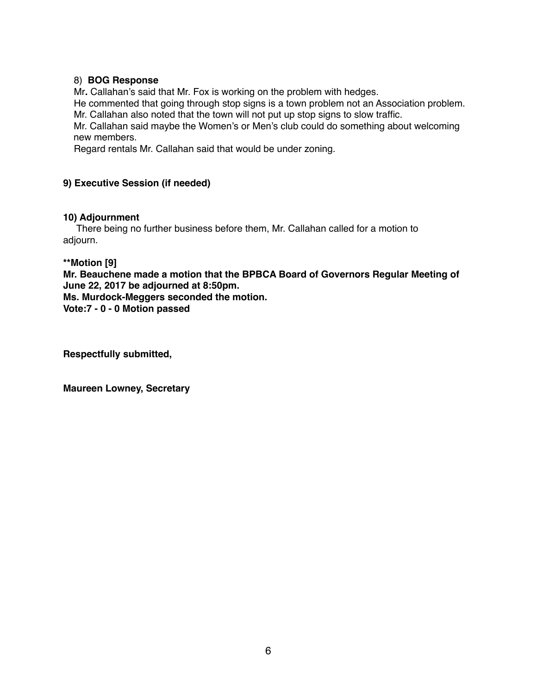# 8) **BOG Response**

Mr**.** Callahan's said that Mr. Fox is working on the problem with hedges.

 He commented that going through stop signs is a town problem not an Association problem. Mr. Callahan also noted that the town will not put up stop signs to slow traffic.

 Mr. Callahan said maybe the Women's or Men's club could do something about welcoming new members.

Regard rentals Mr. Callahan said that would be under zoning.

# **9) Executive Session (if needed)**

# **10) Adjournment**

There being no further business before them, Mr. Callahan called for a motion to adjourn.

**\*\*Motion [9]**

**Mr. Beauchene made a motion that the BPBCA Board of Governors Regular Meeting of June 22, 2017 be adjourned at 8:50pm. Ms. Murdock-Meggers seconded the motion.**

**Vote:7 - 0 - 0 Motion passed**

**Respectfully submitted,**

**Maureen Lowney, Secretary**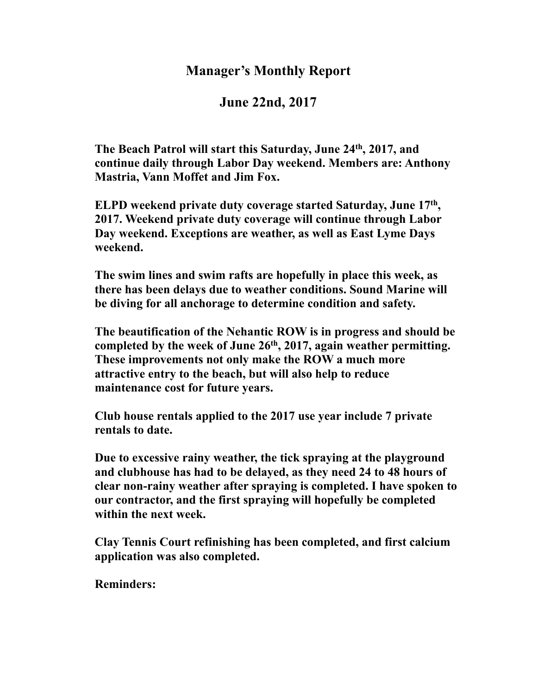# **Manager's Monthly Report**

# **June 22nd, 2017**

**The Beach Patrol will start this Saturday, June 24th, 2017, and continue daily through Labor Day weekend. Members are: Anthony Mastria, Vann Moffet and Jim Fox.**

**ELPD weekend private duty coverage started Saturday, June 17th , 2017. Weekend private duty coverage will continue through Labor Day weekend. Exceptions are weather, as well as East Lyme Days weekend.** 

**The swim lines and swim rafts are hopefully in place this week, as there has been delays due to weather conditions. Sound Marine will be diving for all anchorage to determine condition and safety.**

**The beautification of the Nehantic ROW is in progress and should be completed by the week of June 26th, 2017, again weather permitting. These improvements not only make the ROW a much more attractive entry to the beach, but will also help to reduce maintenance cost for future years.**

**Club house rentals applied to the 2017 use year include 7 private rentals to date.**

**Due to excessive rainy weather, the tick spraying at the playground and clubhouse has had to be delayed, as they need 24 to 48 hours of clear non-rainy weather after spraying is completed. I have spoken to our contractor, and the first spraying will hopefully be completed within the next week.**

**Clay Tennis Court refinishing has been completed, and first calcium application was also completed.**

**Reminders:**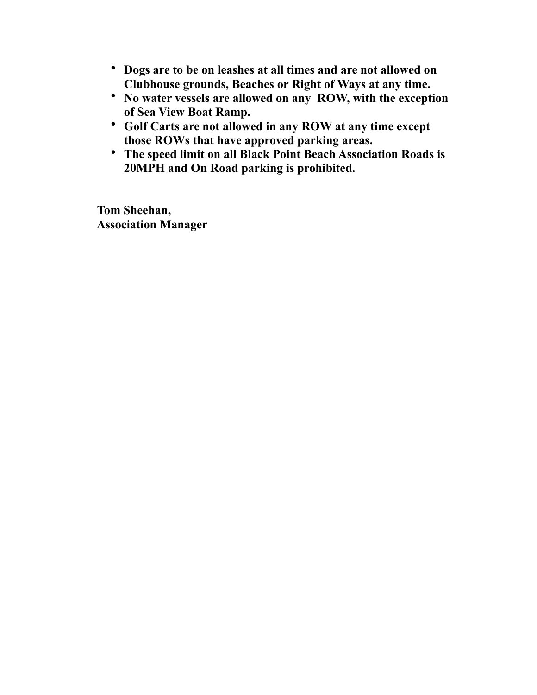- **Dogs are to be on leashes at all times and are not allowed on Clubhouse grounds, Beaches or Right of Ways at any time.**
- **No water vessels are allowed on any ROW, with the exception of Sea View Boat Ramp.**
- **Golf Carts are not allowed in any ROW at any time except those ROWs that have approved parking areas.**
- **The speed limit on all Black Point Beach Association Roads is 20MPH and On Road parking is prohibited.**

 **Tom Sheehan, Association Manager**